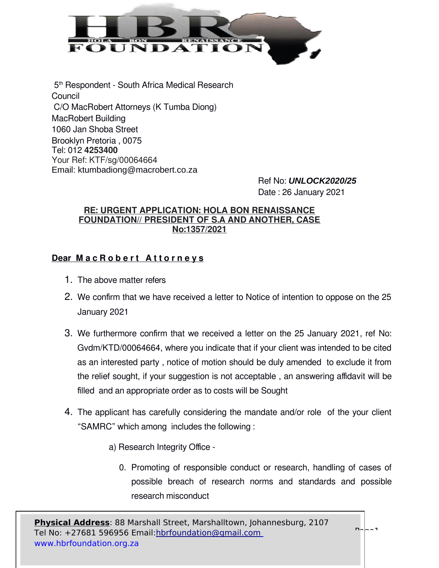

 5 th Respondent - South Africa Medical Research Council C/O MacRobert Attorneys (K Tumba Diong) MacRobert Building 1060 Jan Shoba Street Brooklyn Pretoria , 0075 Tel: 012 **4253400** Your Ref: KTF/sg/00064664 Email: ktumbadiong@macrobert.co.za

Ref No: *UNLOCK2020/25* Date : 26 January 2021

#### **RE: URGENT APPLICATION: HOLA BON RENAISSANCE FOUNDATION// PRESIDENT OF S.A AND ANOTHER, CASE No:1357/2021**

# **Dear MacRobert Attorneys**

- 1. The above matter refers
- 2. We confirm that we have received a letter to Notice of intention to oppose on the 25 January 2021
- 3. We furthermore confirm that we received a letter on the 25 January 2021, ref No: Gvdm/KTD/00064664, where you indicate that if your client was intended to be cited as an interested party , notice of motion should be duly amended to exclude it from the relief sought, if your suggestion is not acceptable , an answering affidavit will be filled and an appropriate order as to costs will be Sought
- 4. The applicant has carefully considering the mandate and/or role of the your client "SAMRC" which among includes the following :
	- a) Research Integrity Office
		- 0. Promoting of responsible conduct or research, handling of cases of possible breach of research norms and standards and possible research misconduct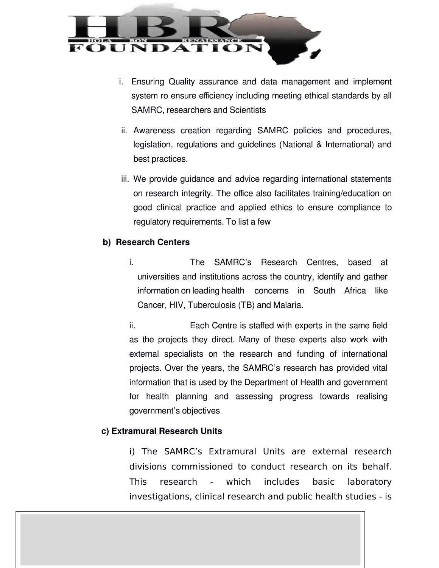

- i. Ensuring Quality assurance and data management and implement system ro ensure efficiency including meeting ethical standards by all SAMRC, researchers and Scientists
- ii. Awareness creation regarding SAMRC policies and procedures, legislation, regulations and guidelines (National & International) and best practices.
- iii. We provide guidance and advice regarding international statements on research integrity. The office also facilitates training/education on good clinical practice and applied ethics to ensure compliance to regulatory requirements. To list a few

## **b) Research Centers**

i. The SAMRC's Research Centres, based at universities and institutions across the country, identify and gather information on leading health concerns in South Africa like Cancer, HIV, Tuberculosis (TB) and Malaria.

ii. Each Centre is staffed with experts in the same field as the projects they direct. Many of these experts also work with external specialists on the research and funding of international projects. Over the years, the SAMRC's research has provided vital information that is used by the Department of Health and government for health planning and assessing progress towards realising government's objectives

## **c) Extramural Research Units**

i) The SAMRC's Extramural Units are external research divisions commissioned to conduct research on its behalf. This research - which includes basic laboratory investigations, clinical research and public health studies - is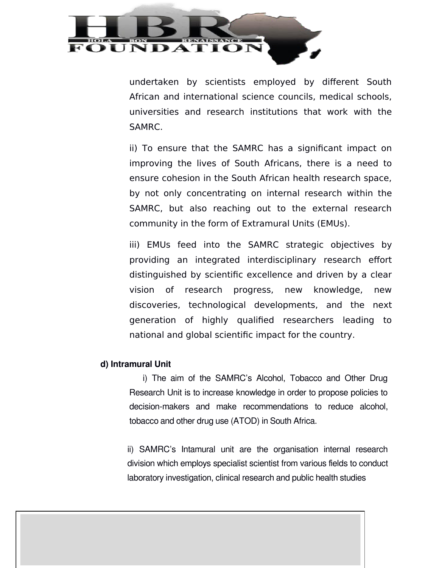

undertaken by scientists employed by different South African and international science councils, medical schools, universities and research institutions that work with the SAMRC.

ii) To ensure that the SAMRC has a significant impact on improving the lives of South Africans, there is a need to ensure cohesion in the South African health research space, by not only concentrating on internal research within the SAMRC, but also reaching out to the external research community in the form of Extramural Units (EMUs).

iii) EMUs feed into the SAMRC strategic objectives by providing an integrated interdisciplinary research effort distinguished by scientific excellence and driven by a clear vision of research progress, new knowledge, new discoveries, technological developments, and the next generation of highly qualified researchers leading to national and global scientific impact for the country.

#### **d) Intramural Unit**

 i) The aim of the SAMRC's Alcohol, Tobacco and Other Drug Research Unit is to increase knowledge in order to propose policies to decision-makers and make recommendations to reduce alcohol, tobacco and other drug use (ATOD) in South Africa.

ii) SAMRC's Intamural unit are the organisation internal research division which employs specialist scientist from various fields to conduct laboratory investigation, clinical research and public health studies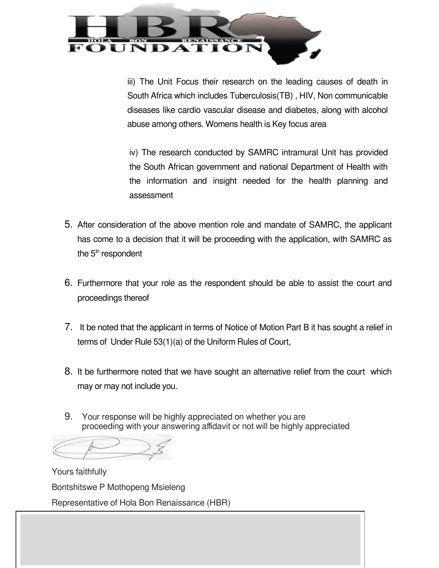

iii) The Unit Focus their research on the leading causes of death in South Africa which includes Tuberculosis(TB) , HIV, Non communicable diseases like cardio vascular disease and diabetes, along with alcohol abuse among others. Womens health is Key focus area

iv) The research conducted by SAMRC intramural Unit has provided the South African government and national Department of Health with the information and insight needed for the health planning and assessment

- 5. After consideration of the above mention role and mandate of SAMRC, the applicant has come to a decision that it will be proceeding with the application, with SAMRC as the  $5<sup>th</sup>$  respondent
- 6. Furthermore that your role as the respondent should be able to assist the court and proceedings thereof
- 7. It be noted that the applicant in terms of Notice of Motion Part B it has sought a relief in terms of Under Rule 53(1)(a) of the Uniform Rules of Court,
- 8. It be furthermore noted that we have sought an alternative relief from the court which may or may not include you.
- 9. Your response will be highly appreciated on whether you are proceeding with your answering affidavit or not will be highly appreciated

Í

Yours faithfully Bontshitswe P Mothopeng Msieleng Representative of Hola Bon Renaissance (HBR)